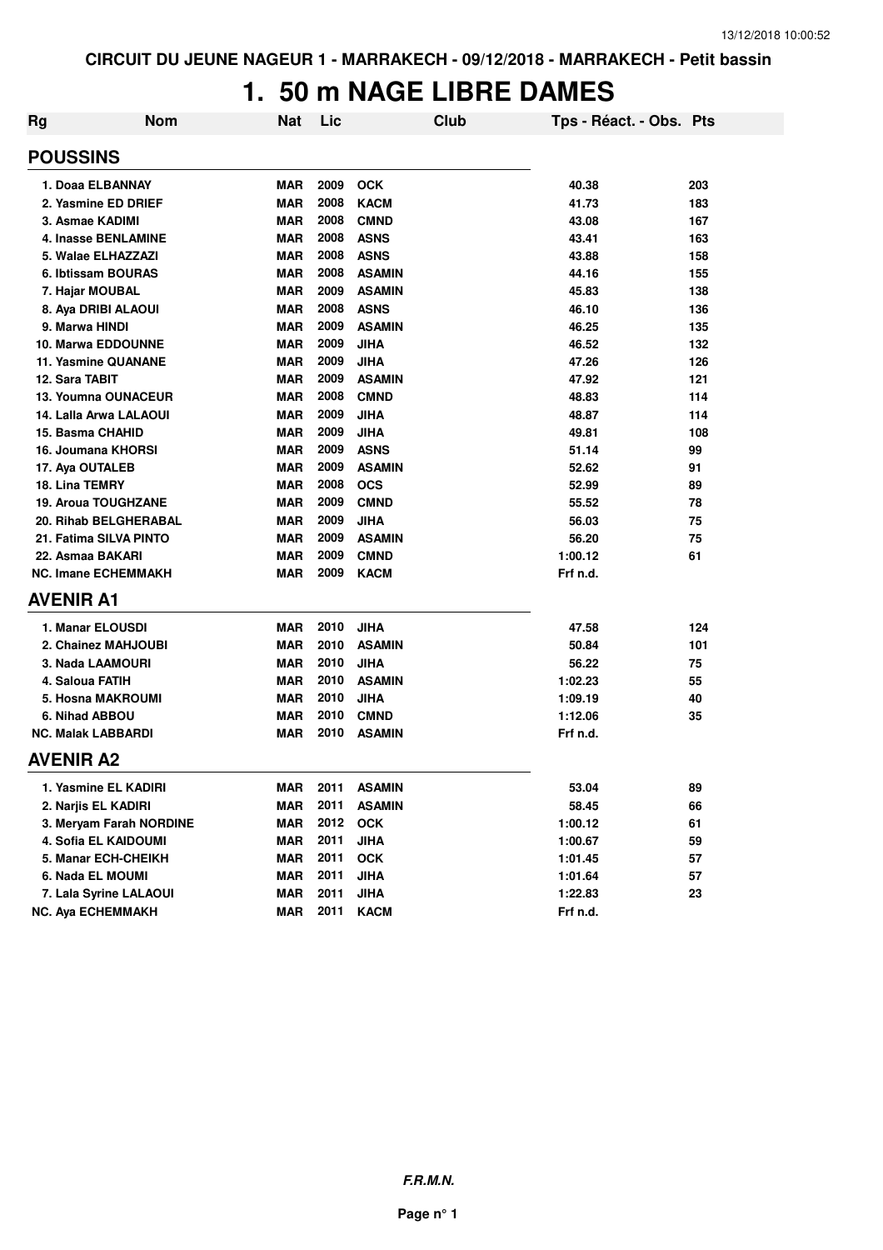#### 1. 50 m NAGE LIBRE DAMES

| <b>Rg</b> | <b>Nom</b>                 | Nat        | Lic  | Club          | Tps - Réact. - Obs. Pts |       |
|-----------|----------------------------|------------|------|---------------|-------------------------|-------|
|           | <b>POUSSINS</b>            |            |      |               |                         |       |
|           | 1. Doaa ELBANNAY           | MAR        | 2009 | <b>OCK</b>    | 40.38                   | 203   |
|           | 2. Yasmine ED DRIEF        | <b>MAR</b> | 2008 | <b>KACM</b>   | 41.73                   | 183   |
|           | 3. Asmae KADIMI            | <b>MAR</b> | 2008 | <b>CMND</b>   | 43.08                   | 167   |
|           | 4. Inasse BENLAMINE        | <b>MAR</b> | 2008 | <b>ASNS</b>   | 43.41                   | 163   |
|           | 5. Walae ELHAZZAZI         | <b>MAR</b> | 2008 | <b>ASNS</b>   | 43.88                   | 158   |
|           | 6. Ibtissam BOURAS         | <b>MAR</b> | 2008 | <b>ASAMIN</b> | 44.16                   | 155   |
|           | 7. Hajar MOUBAL            | <b>MAR</b> | 2009 | <b>ASAMIN</b> | 45.83                   | 138   |
|           | 8. Aya DRIBI ALAOUI        | <b>MAR</b> | 2008 | <b>ASNS</b>   | 46.10                   | 136   |
|           | 9. Marwa HINDI             | <b>MAR</b> | 2009 | <b>ASAMIN</b> | 46.25                   | 135   |
|           | <b>10. Marwa EDDOUNNE</b>  | <b>MAR</b> | 2009 | <b>JIHA</b>   | 46.52                   | 132   |
|           | 11. Yasmine QUANANE        | <b>MAR</b> | 2009 | <b>JIHA</b>   | 47.26                   | 126   |
|           | 12. Sara TABIT             | <b>MAR</b> | 2009 | <b>ASAMIN</b> | 47.92                   | $121$ |
|           | 13. Youmna OUNACEUR        | <b>MAR</b> | 2008 | <b>CMND</b>   | 48.83                   | 114   |
|           | 14. Lalla Arwa LALAOUI     | <b>MAR</b> | 2009 | <b>JIHA</b>   | 48.87                   | 114   |
|           | 15. Basma CHAHID           | <b>MAR</b> | 2009 | <b>JIHA</b>   | 49.81                   | 108   |
|           | 16. Joumana KHORSI         | <b>MAR</b> | 2009 | <b>ASNS</b>   | 51.14                   | 99    |
|           | 17. Aya OUTALEB            | <b>MAR</b> | 2009 | <b>ASAMIN</b> | 52.62                   | 91    |
|           | 18. Lina TEMRY             | <b>MAR</b> | 2008 | <b>OCS</b>    | 52.99                   | 89    |
|           | 19. Aroua TOUGHZANE        | <b>MAR</b> | 2009 | <b>CMND</b>   | 55.52                   | 78    |
|           | 20. Rihab BELGHERABAL      | <b>MAR</b> | 2009 | <b>JIHA</b>   | 56.03                   | 75    |
|           | 21. Fatima SILVA PINTO     | <b>MAR</b> | 2009 | <b>ASAMIN</b> | 56.20                   | 75    |
|           | 22. Asmaa BAKARI           | <b>MAR</b> | 2009 | <b>CMND</b>   | 1:00.12                 | 61    |
|           | <b>NC. Imane ECHEMMAKH</b> | MAR        | 2009 | <b>KACM</b>   | Frf n.d.                |       |
|           | <b>AVENIR A1</b>           |            |      |               |                         |       |
|           | 1. Manar ELOUSDI           | MAR        | 2010 | <b>JIHA</b>   | 47.58                   | 124   |
|           | 2. Chainez MAHJOUBI        | <b>MAR</b> | 2010 | <b>ASAMIN</b> | 50.84                   | 101   |
|           | 3. Nada LAAMOURI           | <b>MAR</b> | 2010 | <b>JIHA</b>   | 56.22                   | 75    |
|           | 4. Saloua FATIH            | <b>MAR</b> | 2010 | <b>ASAMIN</b> | 1:02.23                 | 55    |
|           | 5. Hosna MAKROUMI          | <b>MAR</b> | 2010 | <b>JIHA</b>   | 1:09.19                 | 40    |
|           | 6. Nihad ABBOU             | <b>MAR</b> | 2010 | <b>CMND</b>   | 1:12.06                 | 35    |
|           | <b>NC. Malak LABBARDI</b>  | <b>MAR</b> | 2010 | <b>ASAMIN</b> | Frf n.d.                |       |
|           | <b>AVENIR A2</b>           |            |      |               |                         |       |
|           | 1. Yasmine EL KADIRI       | <b>MAR</b> | 2011 | <b>ASAMIN</b> | 53.04                   | 89    |
|           | 2. Narjis EL KADIRI        | <b>MAR</b> | 2011 | <b>ASAMIN</b> | 58.45                   | 66    |
|           | 3. Mervam Farah NORDINE    | <b>MAR</b> | 2012 | <b>OCK</b>    | 1:00.12                 | 61    |
|           | 4. Sofia EL KAIDOUMI       | <b>MAR</b> | 2011 | <b>JIHA</b>   | 1:00.67                 | 59    |
|           | 5. Manar ECH-CHEIKH        | <b>MAR</b> | 2011 | <b>OCK</b>    | 1:01.45                 | 57    |
|           | 6. Nada EL MOUMI           | <b>MAR</b> | 2011 | <b>JIHA</b>   | 1:01.64                 | 57    |
|           | 7. Lala Syrine LALAOUI     | <b>MAR</b> | 2011 | <b>JIHA</b>   | 1:22.83                 | 23    |
|           | NC. Aya ECHEMMAKH          | <b>MAR</b> | 2011 | <b>KACM</b>   | Frf n.d.                |       |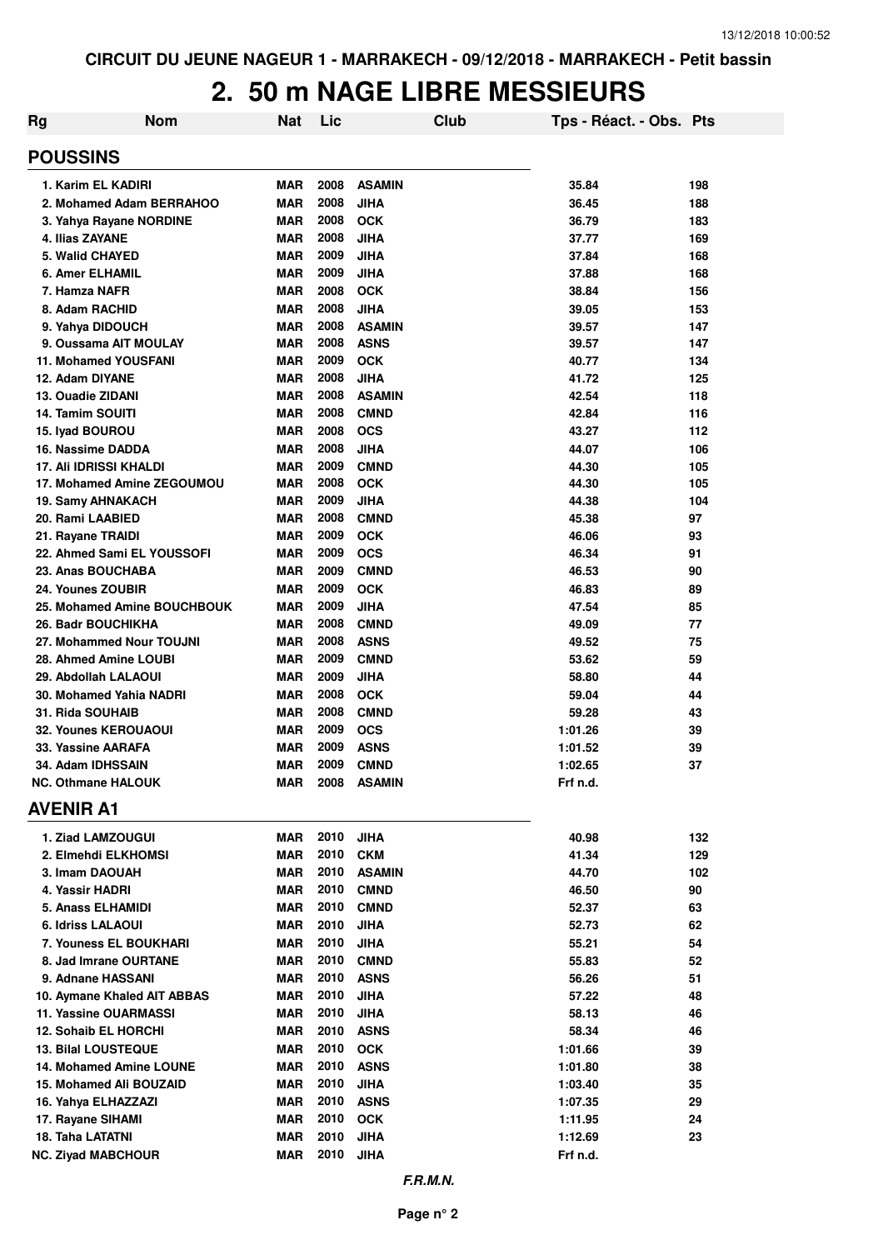# **2. 50 m NAGE LIBRE MESSIEURS**

| Rg                                                    | <b>Nom</b> | Nat                      | Lic          |                             | Club | Tps - Réact. - Obs. Pts |          |
|-------------------------------------------------------|------------|--------------------------|--------------|-----------------------------|------|-------------------------|----------|
| <b>POUSSINS</b>                                       |            |                          |              |                             |      |                         |          |
| 1. Karim EL KADIRI                                    |            | <b>MAR</b>               | 2008         | <b>ASAMIN</b>               |      | 35.84                   | 198      |
| 2. Mohamed Adam BERRAHOO                              |            | <b>MAR</b>               | 2008         | <b>JIHA</b>                 |      | 36.45                   | 188      |
| 3. Yahya Rayane NORDINE                               |            | <b>MAR</b>               | 2008         | <b>OCK</b>                  |      | 36.79                   | 183      |
| 4. Ilias ZAYANE                                       |            | <b>MAR</b>               | 2008         | <b>JIHA</b>                 |      | 37.77                   | 169      |
| 5. Walid CHAYED                                       |            | <b>MAR</b>               | 2009         | <b>JIHA</b>                 |      | 37.84                   | 168      |
| 6. Amer ELHAMIL                                       |            | <b>MAR</b>               | 2009         | <b>JIHA</b>                 |      | 37.88                   | 168      |
| 7. Hamza NAFR                                         |            | <b>MAR</b>               | 2008         | <b>OCK</b>                  |      | 38.84                   | 156      |
| 8. Adam RACHID                                        |            | <b>MAR</b>               | 2008         | <b>JIHA</b>                 |      | 39.05                   | 153      |
| 9. Yahya DIDOUCH                                      |            | <b>MAR</b>               | 2008         | <b>ASAMIN</b>               |      | 39.57                   | 147      |
| 9. Oussama AIT MOULAY                                 |            | <b>MAR</b>               | 2008         | <b>ASNS</b>                 |      | 39.57                   | 147      |
| <b>11. Mohamed YOUSFANI</b>                           |            | <b>MAR</b>               | 2009         | <b>OCK</b>                  |      | 40.77                   | 134      |
| 12. Adam DIYANE                                       |            | <b>MAR</b>               | 2008         | <b>JIHA</b>                 |      | 41.72                   | 125      |
| 13. Ouadie ZIDANI                                     |            | <b>MAR</b>               | 2008         | <b>ASAMIN</b>               |      | 42.54                   | 118      |
| 14. Tamim SOUITI                                      |            | <b>MAR</b>               | 2008         | <b>CMND</b>                 |      | 42.84                   | 116      |
| 15. Iyad BOUROU                                       |            | <b>MAR</b>               | 2008         | <b>OCS</b>                  |      | 43.27                   | 112      |
| 16. Nassime DADDA                                     |            | <b>MAR</b>               | 2008         | <b>JIHA</b>                 |      | 44.07                   | 106      |
| 17. Ali IDRISSI KHALDI                                |            | <b>MAR</b>               | 2009         | <b>CMND</b>                 |      | 44.30                   | 105      |
| 17. Mohamed Amine ZEGOUMOU                            |            | <b>MAR</b>               | 2008         | <b>OCK</b>                  |      | 44.30                   | 105      |
| <b>19. Samy AHNAKACH</b>                              |            | <b>MAR</b>               | 2009<br>2008 | <b>JIHA</b>                 |      | 44.38                   | 104      |
| 20. Rami LAABIED                                      |            | <b>MAR</b>               |              | <b>CMND</b>                 |      | 45.38                   | 97       |
| 21. Rayane TRAIDI                                     |            | <b>MAR</b>               | 2009         | <b>OCK</b>                  |      | 46.06                   | 93       |
| 22. Ahmed Sami EL YOUSSOFI                            |            | <b>MAR</b>               | 2009         | <b>OCS</b>                  |      | 46.34                   | 91       |
| 23. Anas BOUCHABA                                     |            | <b>MAR</b>               | 2009         | <b>CMND</b>                 |      | 46.53                   | 90       |
| 24. Younes ZOUBIR                                     |            | <b>MAR</b><br><b>MAR</b> | 2009<br>2009 | <b>OCK</b>                  |      | 46.83                   | 89       |
| 25. Mohamed Amine BOUCHBOUK                           |            | <b>MAR</b>               | 2008         | <b>JIHA</b>                 |      | 47.54                   | 85       |
| <b>26. Badr BOUCHIKHA</b><br>27. Mohammed Nour TOUJNI |            | <b>MAR</b>               | 2008         | <b>CMND</b>                 |      | 49.09                   | 77<br>75 |
| 28. Ahmed Amine LOUBI                                 |            | <b>MAR</b>               | 2009         | <b>ASNS</b>                 |      | 49.52                   | 59       |
| 29. Abdollah LALAOUI                                  |            | <b>MAR</b>               | 2009         | <b>CMND</b><br><b>JIHA</b>  |      | 53.62<br>58.80          | 44       |
| 30. Mohamed Yahia NADRI                               |            | <b>MAR</b>               | 2008         | <b>OCK</b>                  |      | 59.04                   | 44       |
| 31. Rida SOUHAIB                                      |            | <b>MAR</b>               | 2008         | <b>CMND</b>                 |      | 59.28                   | 43       |
| <b>32. Younes KEROUAOUI</b>                           |            | <b>MAR</b>               | 2009         | <b>OCS</b>                  |      | 1:01.26                 | 39       |
| 33. Yassine AARAFA                                    |            | <b>MAR</b>               | 2009         | <b>ASNS</b>                 |      | 1:01.52                 | 39       |
| 34. Adam IDHSSAIN                                     |            | <b>MAR</b>               | 2009         | <b>CMND</b>                 |      | 1:02.65                 | 37       |
| <b>NC. Othmane HALOUK</b>                             |            | MAR                      | 2008         | ASAMIN                      |      | Frf n.d.                |          |
| <b>AVENIR A1</b>                                      |            |                          |              |                             |      |                         |          |
|                                                       |            |                          |              |                             |      |                         |          |
| 1. Ziad LAMZOUGUI                                     |            | <b>MAR</b>               | 2010         | <b>JIHA</b>                 |      | 40.98                   | 132      |
| 2. Elmehdi ELKHOMSI                                   |            | <b>MAR</b><br><b>MAR</b> | 2010<br>2010 | <b>CKM</b><br><b>ASAMIN</b> |      | 41.34                   | 129      |
| 3. Imam DAOUAH                                        |            | <b>MAR</b>               | 2010         |                             |      | 44.70                   | 102      |
| 4. Yassir HADRI<br>5. Anass ELHAMIDI                  |            | MAR                      | 2010         | <b>CMND</b><br><b>CMND</b>  |      | 46.50<br>52.37          | 90<br>63 |
| 6. Idriss LALAOUI                                     |            | MAR                      | 2010         | <b>JIHA</b>                 |      | 52.73                   | 62       |
| 7. Youness EL BOUKHARI                                |            | <b>MAR</b>               | 2010         | <b>JIHA</b>                 |      | 55.21                   | 54       |
| 8. Jad Imrane OURTANE                                 |            | MAR                      | 2010         | <b>CMND</b>                 |      | 55.83                   | 52       |
| 9. Adnane HASSANI                                     |            | MAR                      | 2010         | <b>ASNS</b>                 |      | 56.26                   | 51       |
| 10. Aymane Khaled AIT ABBAS                           |            | MAR                      | 2010         | <b>JIHA</b>                 |      | 57.22                   | 48       |
| <b>11. Yassine OUARMASSI</b>                          |            | MAR                      | 2010         | <b>JIHA</b>                 |      | 58.13                   | 46       |
| <b>12. Sohaib EL HORCHI</b>                           |            | MAR                      | 2010         | <b>ASNS</b>                 |      | 58.34                   | 46       |
| <b>13. Bilal LOUSTEQUE</b>                            |            | MAR                      | 2010         | <b>OCK</b>                  |      | 1:01.66                 | 39       |
| 14. Mohamed Amine LOUNE                               |            | MAR                      | 2010         | <b>ASNS</b>                 |      | 1:01.80                 | 38       |
| 15. Mohamed Ali BOUZAID                               |            | <b>MAR</b>               | 2010         | <b>JIHA</b>                 |      | 1:03.40                 | 35       |
| 16. Yahya ELHAZZAZI                                   |            | MAR                      | 2010         | <b>ASNS</b>                 |      | 1:07.35                 | 29       |
| 17. Rayane SIHAMI                                     |            | <b>MAR</b>               | 2010         | <b>OCK</b>                  |      | 1:11.95                 | 24       |
| 18. Taha LATATNI                                      |            | <b>MAR</b>               | 2010         | <b>JIHA</b>                 |      | 1:12.69                 | 23       |
| <b>NC. Ziyad MABCHOUR</b>                             |            | <b>MAR</b>               | 2010         | <b>JIHA</b>                 |      | Frf n.d.                |          |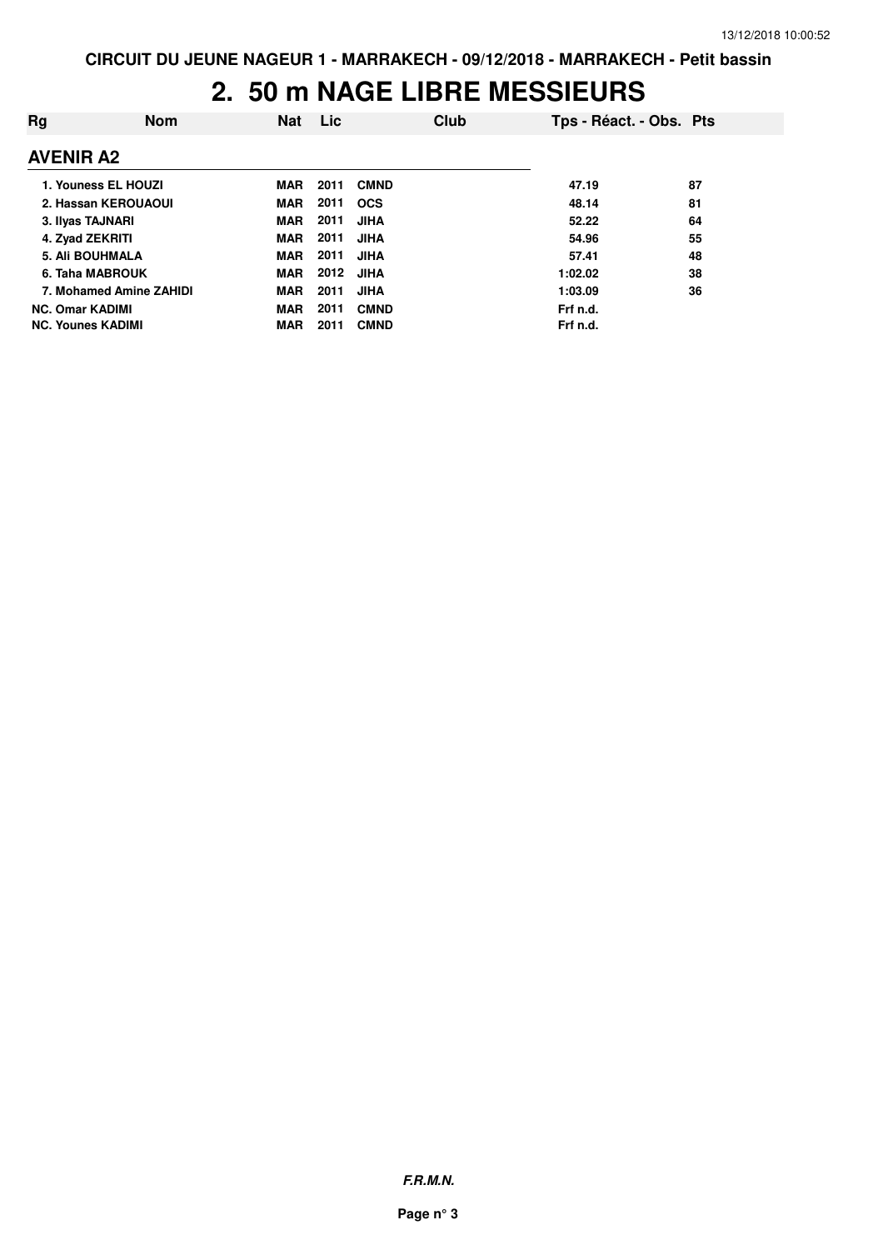#### **2. 50 m NAGE LIBRE MESSIEURS**

| Rg                       | <b>Nom</b> | Nat        | <b>Lic</b> |             | Club | Tps - Réact. - Obs. Pts |    |
|--------------------------|------------|------------|------------|-------------|------|-------------------------|----|
| <b>AVENIR A2</b>         |            |            |            |             |      |                         |    |
| 1. Youness EL HOUZI      |            | <b>MAR</b> | 2011       | <b>CMND</b> |      | 47.19                   | 87 |
| 2. Hassan KEROUAOUI      |            | <b>MAR</b> | 2011       | <b>OCS</b>  |      | 48.14                   | 81 |
| 3. Ilyas TAJNARI         |            | <b>MAR</b> | 2011       | <b>JIHA</b> |      | 52.22                   | 64 |
| 4. Zyad ZEKRITI          |            | <b>MAR</b> | 2011       | <b>JIHA</b> |      | 54.96                   | 55 |
| <b>5. Ali BOUHMALA</b>   |            | <b>MAR</b> | 2011       | <b>JIHA</b> |      | 57.41                   | 48 |
| 6. Taha MABROUK          |            | <b>MAR</b> | 2012       | <b>JIHA</b> |      | 1:02.02                 | 38 |
| 7. Mohamed Amine ZAHIDI  |            | <b>MAR</b> | 2011       | <b>JIHA</b> |      | 1:03.09                 | 36 |
| <b>NC. Omar KADIMI</b>   |            | <b>MAR</b> | 2011       | <b>CMND</b> |      | Frf n.d.                |    |
| <b>NC. Younes KADIMI</b> |            | <b>MAR</b> | 2011       | <b>CMND</b> |      | Frf n.d.                |    |

**F.R.M.N.**

**Page n° 3**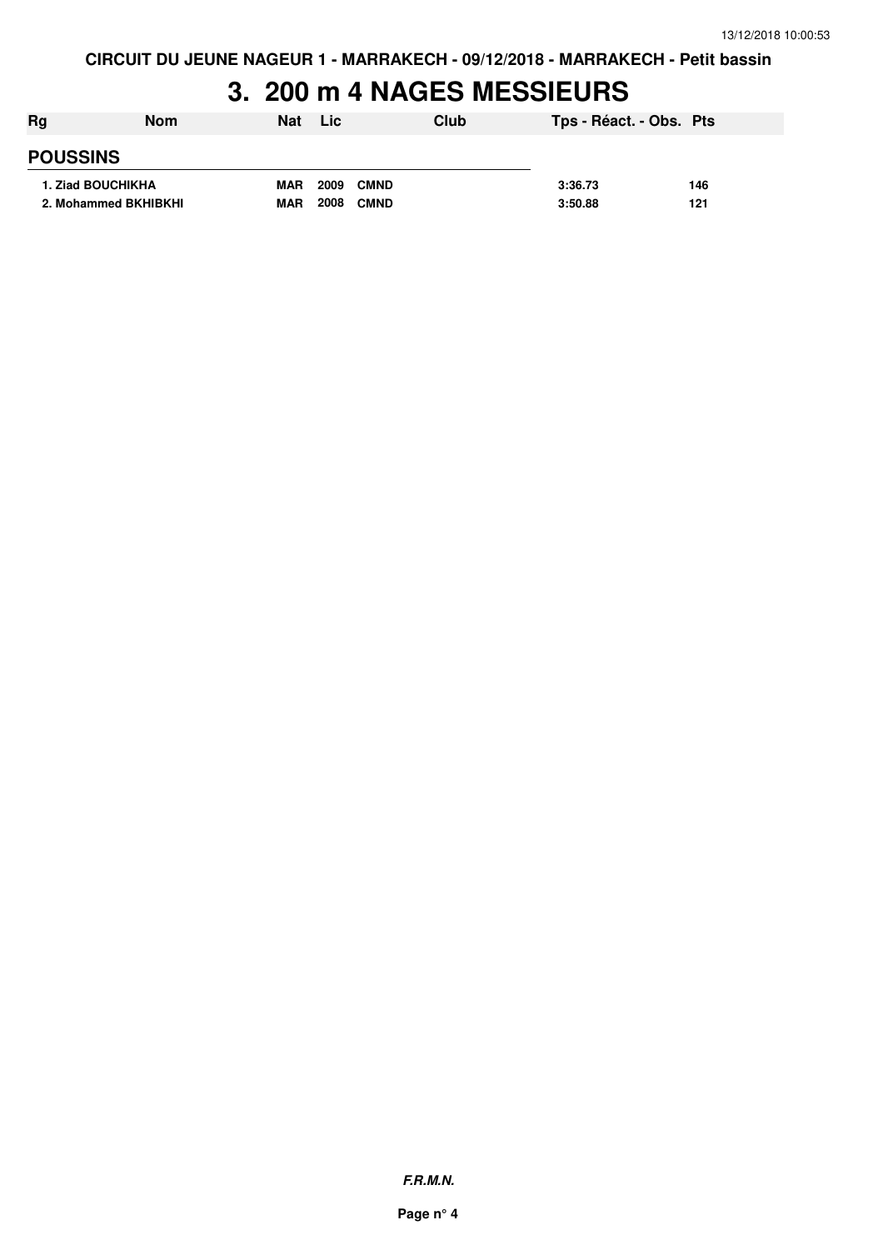# **3. 200 m 4 NAGES MESSIEURS**

| Rg                   | <b>Nom</b>               | <b>Nat</b> | <b>Lic</b>          | Club | Tps - Réact. - Obs. Pts |     |
|----------------------|--------------------------|------------|---------------------|------|-------------------------|-----|
| <b>POUSSINS</b>      |                          |            |                     |      |                         |     |
|                      | <b>1. Ziad BOUCHIKHA</b> | <b>MAR</b> | 2009<br><b>CMND</b> |      | 3:36.73                 | 146 |
| 2. Mohammed BKHIBKHI |                          | <b>MAR</b> | 2008<br><b>CMND</b> |      | 3:50.88                 | 121 |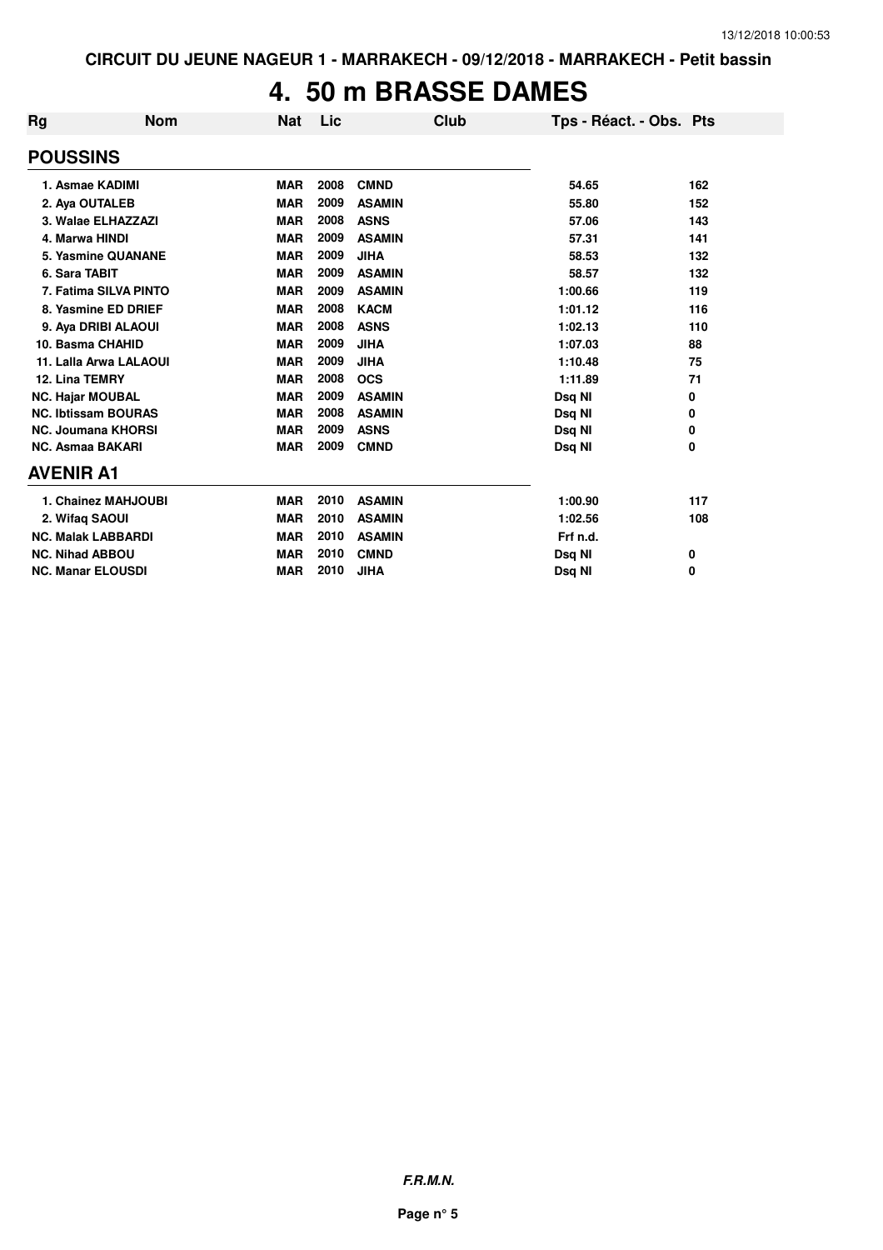# **4. 50 m BRASSE DAMES**

| Rg | <b>Nom</b>                 | <b>Nat</b> | Lic  | <b>Club</b>   | Tps - Réact. - Obs. Pts |     |
|----|----------------------------|------------|------|---------------|-------------------------|-----|
|    | <b>POUSSINS</b>            |            |      |               |                         |     |
|    | 1. Asmae KADIMI            | <b>MAR</b> | 2008 | <b>CMND</b>   | 54.65                   | 162 |
|    | 2. Aya OUTALEB             | <b>MAR</b> | 2009 | <b>ASAMIN</b> | 55.80                   | 152 |
|    | 3. Walae ELHAZZAZI         | <b>MAR</b> | 2008 | <b>ASNS</b>   | 57.06                   | 143 |
|    | 4. Marwa HINDI             | <b>MAR</b> | 2009 | <b>ASAMIN</b> | 57.31                   | 141 |
|    | <b>5. Yasmine QUANANE</b>  | <b>MAR</b> | 2009 | <b>JIHA</b>   | 58.53                   | 132 |
|    | 6. Sara TABIT              | <b>MAR</b> | 2009 | <b>ASAMIN</b> | 58.57                   | 132 |
|    | 7. Fatima SILVA PINTO      | <b>MAR</b> | 2009 | <b>ASAMIN</b> | 1:00.66                 | 119 |
|    | 8. Yasmine ED DRIEF        | <b>MAR</b> | 2008 | <b>KACM</b>   | 1:01.12                 | 116 |
|    | 9. Aya DRIBI ALAOUI        | <b>MAR</b> | 2008 | <b>ASNS</b>   | 1:02.13                 | 110 |
|    | 10. Basma CHAHID           | <b>MAR</b> | 2009 | <b>JIHA</b>   | 1:07.03                 | 88  |
|    | 11. Lalla Arwa LALAOUI     | <b>MAR</b> | 2009 | <b>JIHA</b>   | 1:10.48                 | 75  |
|    | 12. Lina TEMRY             | <b>MAR</b> | 2008 | <b>OCS</b>    | 1:11.89                 | 71  |
|    | <b>NC. Hajar MOUBAL</b>    | <b>MAR</b> | 2009 | <b>ASAMIN</b> | Dsq NI                  | 0   |
|    | <b>NC. Ibtissam BOURAS</b> | <b>MAR</b> | 2008 | <b>ASAMIN</b> | Dsq NI                  | 0   |
|    | <b>NC. Joumana KHORSI</b>  | <b>MAR</b> | 2009 | <b>ASNS</b>   | Dsq NI                  | 0   |
|    | <b>NC. Asmaa BAKARI</b>    | <b>MAR</b> | 2009 | <b>CMND</b>   | Dsg NI                  | 0   |
|    | <b>AVENIR A1</b>           |            |      |               |                         |     |
|    | 1. Chainez MAHJOUBI        | <b>MAR</b> | 2010 | <b>ASAMIN</b> | 1:00.90                 | 117 |
|    | 2. Wifaq SAOUI             | <b>MAR</b> | 2010 | <b>ASAMIN</b> | 1:02.56                 | 108 |
|    | <b>NC. Malak LABBARDI</b>  | <b>MAR</b> | 2010 | <b>ASAMIN</b> | Frf n.d.                |     |
|    | <b>NC. Nihad ABBOU</b>     | <b>MAR</b> | 2010 | <b>CMND</b>   | Dsq NI                  | 0   |
|    | <b>NC. Manar ELOUSDI</b>   | <b>MAR</b> | 2010 | <b>JIHA</b>   | Dsq NI                  | 0   |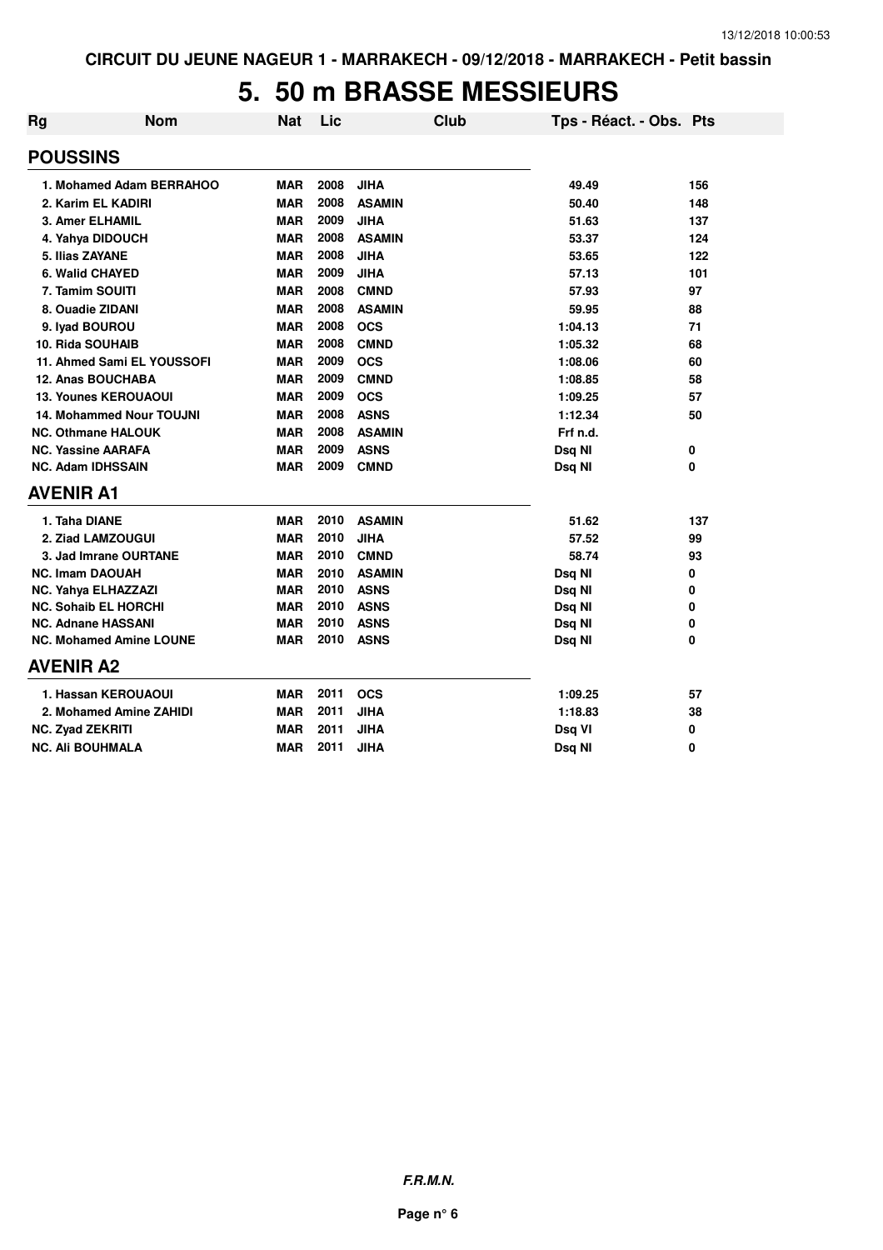#### **5. 50 m BRASSE MESSIEURS**

| <b>Rg</b>                 | <b>Nom</b>                      | <b>Nat</b> | Lic  | <b>Club</b>   | Tps - Réact. - Obs. Pts |     |
|---------------------------|---------------------------------|------------|------|---------------|-------------------------|-----|
| <b>POUSSINS</b>           |                                 |            |      |               |                         |     |
|                           | 1. Mohamed Adam BERRAHOO        | <b>MAR</b> | 2008 | <b>JIHA</b>   | 49.49                   | 156 |
|                           | 2. Karim EL KADIRI              | <b>MAR</b> | 2008 | <b>ASAMIN</b> | 50.40                   | 148 |
| 3. Amer ELHAMIL           |                                 | <b>MAR</b> | 2009 | <b>JIHA</b>   | 51.63                   | 137 |
|                           | 4. Yahya DIDOUCH                | <b>MAR</b> | 2008 | <b>ASAMIN</b> | 53.37                   | 124 |
| 5. Ilias ZAYANE           |                                 | <b>MAR</b> | 2008 | <b>JIHA</b>   | 53.65                   | 122 |
| 6. Walid CHAYED           |                                 | <b>MAR</b> | 2009 | <b>JIHA</b>   | 57.13                   | 101 |
| 7. Tamim SOUITI           |                                 | <b>MAR</b> | 2008 | <b>CMND</b>   | 57.93                   | 97  |
| 8. Ouadie ZIDANI          |                                 | <b>MAR</b> | 2008 | <b>ASAMIN</b> | 59.95                   | 88  |
| 9. Ivad BOUROU            |                                 | <b>MAR</b> | 2008 | <b>OCS</b>    | 1:04.13                 | 71  |
| <b>10. Rida SOUHAIB</b>   |                                 | <b>MAR</b> | 2008 | <b>CMND</b>   | 1:05.32                 | 68  |
|                           | 11. Ahmed Sami EL YOUSSOFI      | <b>MAR</b> | 2009 | <b>OCS</b>    | 1:08.06                 | 60  |
|                           | <b>12. Anas BOUCHABA</b>        | <b>MAR</b> | 2009 | <b>CMND</b>   | 1:08.85                 | 58  |
|                           | <b>13. Younes KEROUAOUI</b>     | <b>MAR</b> | 2009 | <b>OCS</b>    | 1:09.25                 | 57  |
|                           | <b>14. Mohammed Nour TOUJNI</b> | <b>MAR</b> | 2008 | <b>ASNS</b>   | 1:12.34                 | 50  |
|                           | <b>NC. Othmane HALOUK</b>       | <b>MAR</b> | 2008 | <b>ASAMIN</b> | Frf n.d.                |     |
| <b>NC. Yassine AARAFA</b> |                                 | <b>MAR</b> | 2009 | <b>ASNS</b>   | Dsg NI                  | 0   |
| <b>NC. Adam IDHSSAIN</b>  |                                 | <b>MAR</b> | 2009 | <b>CMND</b>   | Dsq NI                  | 0   |
| <b>AVENIR A1</b>          |                                 |            |      |               |                         |     |
| 1. Taha DIANE             |                                 | <b>MAR</b> | 2010 | <b>ASAMIN</b> | 51.62                   | 137 |
|                           | 2. Ziad LAMZOUGUI               | <b>MAR</b> | 2010 | <b>JIHA</b>   | 57.52                   | 99  |
|                           | 3. Jad Imrane OURTANE           | <b>MAR</b> | 2010 | <b>CMND</b>   | 58.74                   | 93  |
| <b>NC. Imam DAOUAH</b>    |                                 | <b>MAR</b> | 2010 | <b>ASAMIN</b> | Dsq NI                  | 0   |
|                           | NC. Yahya ELHAZZAZI             | <b>MAR</b> | 2010 | <b>ASNS</b>   | Dsq NI                  | 0   |
|                           | <b>NC. Sohaib EL HORCHI</b>     | <b>MAR</b> | 2010 | <b>ASNS</b>   | Dsq NI                  | 0   |
| NC. Adnane HASSANI        |                                 | <b>MAR</b> | 2010 | <b>ASNS</b>   | Dsq NI                  | 0   |
|                           | <b>NC. Mohamed Amine LOUNE</b>  | <b>MAR</b> | 2010 | <b>ASNS</b>   | Dsq NI                  | 0   |
| <b>AVENIR A2</b>          |                                 |            |      |               |                         |     |
|                           | 1. Hassan KEROUAOUI             | <b>MAR</b> | 2011 | <b>OCS</b>    | 1:09.25                 | 57  |
|                           | 2. Mohamed Amine ZAHIDI         | <b>MAR</b> | 2011 | <b>JIHA</b>   | 1:18.83                 | 38  |
| <b>NC. Zyad ZEKRITI</b>   |                                 | <b>MAR</b> | 2011 | <b>JIHA</b>   | Dsq VI                  | 0   |
| <b>NC. Ali BOUHMALA</b>   |                                 | <b>MAR</b> | 2011 | <b>JIHA</b>   | Dsq NI                  | 0   |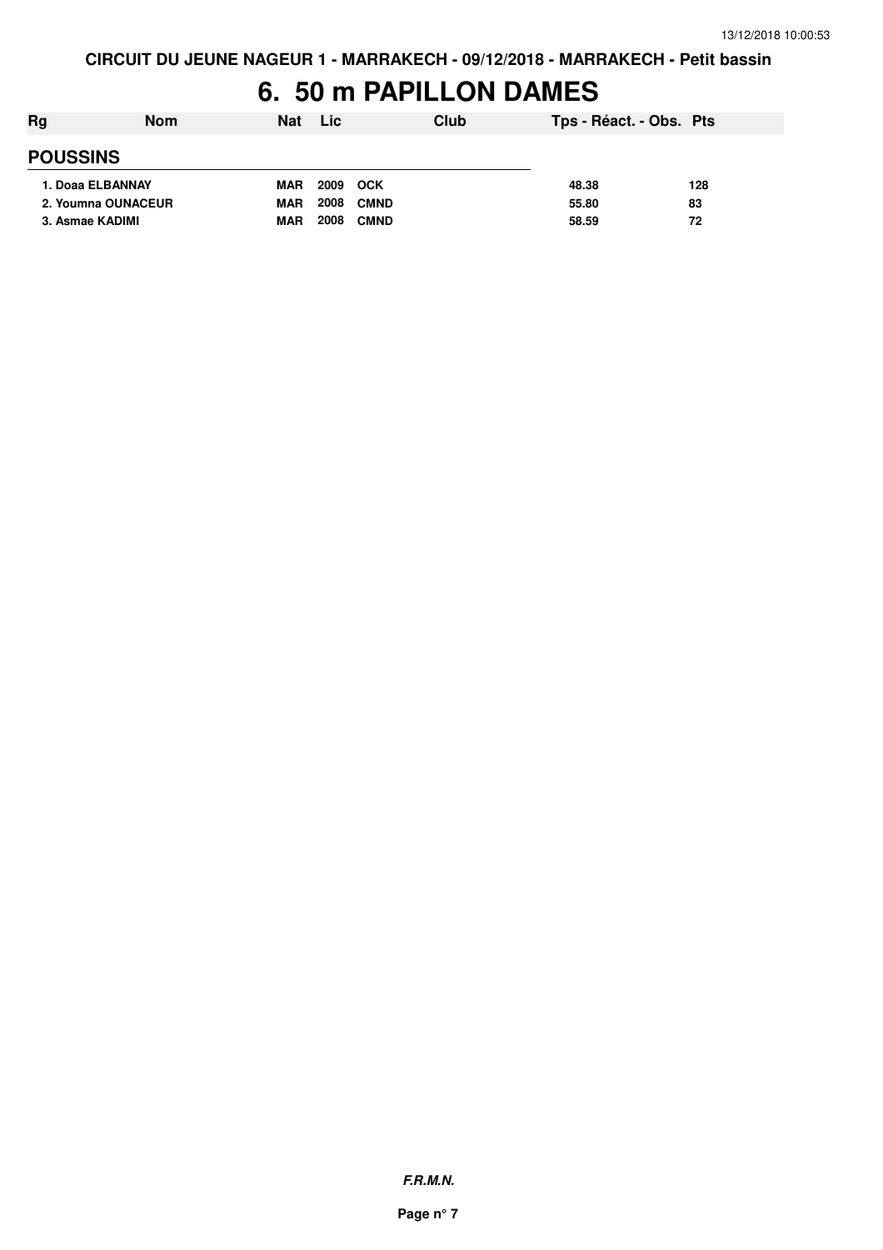## 6. 50 m PAPILLON DAMES

| Rg              | <b>Nom</b>         | <b>Nat</b> | <b>Lic</b>          | Club | Tps - Réact. - Obs. Pts |     |
|-----------------|--------------------|------------|---------------------|------|-------------------------|-----|
| <b>POUSSINS</b> |                    |            |                     |      |                         |     |
|                 | 1. Doaa ELBANNAY   | <b>MAR</b> | 2009 OCK            |      | 48.38                   | 128 |
|                 | 2. Youmna OUNACEUR | <b>MAR</b> | 2008<br><b>CMND</b> |      | 55.80                   | 83  |
| 3. Asmae KADIMI |                    | <b>MAR</b> | 2008<br><b>CMND</b> |      | 58.59                   | 72  |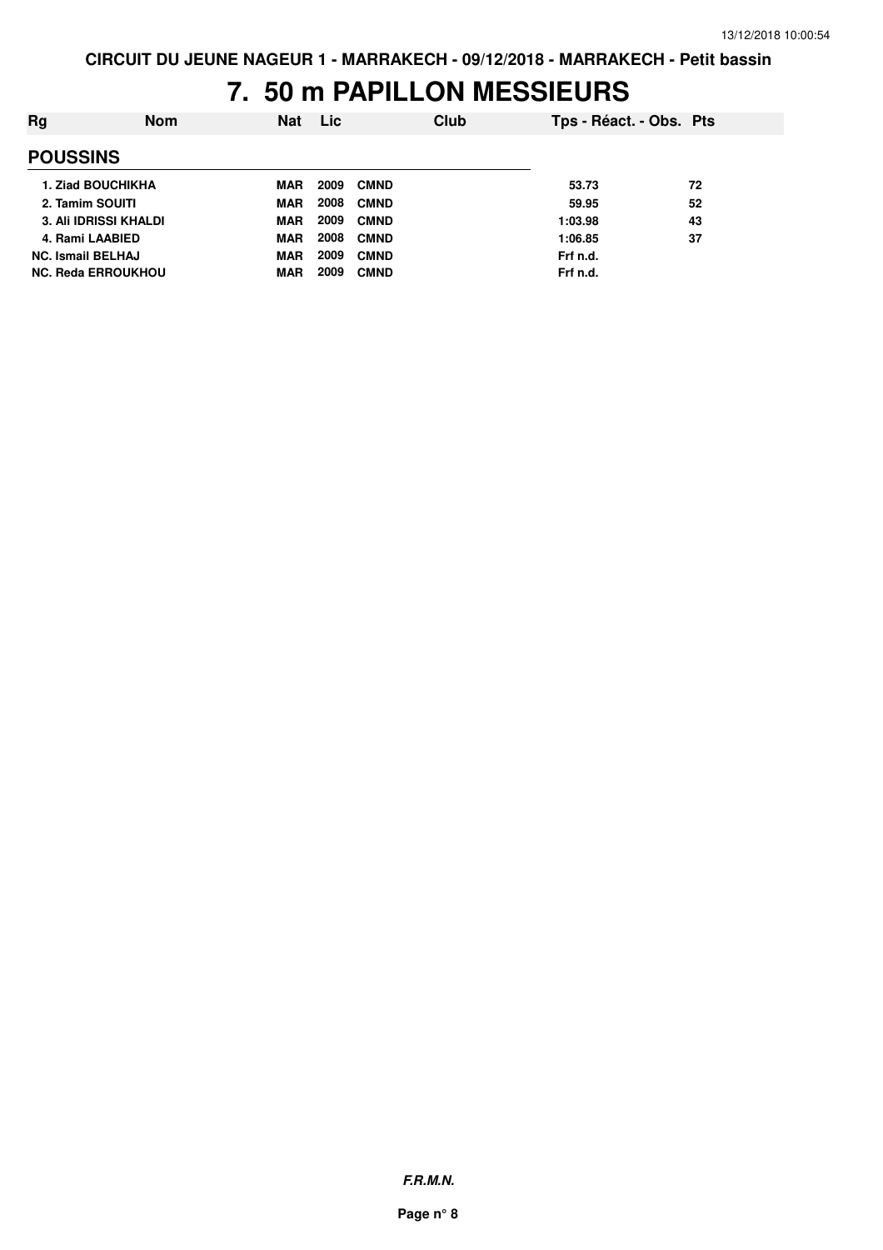# **7. 50 m PAPILLON MESSIEURS**

| Rg                        | <b>Nom</b> | <b>Nat</b> | Lic. |             | Club | Tps - Réact. - Obs. Pts |    |
|---------------------------|------------|------------|------|-------------|------|-------------------------|----|
| <b>POUSSINS</b>           |            |            |      |             |      |                         |    |
| <b>1. Ziad BOUCHIKHA</b>  |            | MAR        | 2009 | <b>CMND</b> |      | 53.73                   | 72 |
| 2. Tamim SOUITI           |            | MAR        | 2008 | <b>CMND</b> |      | 59.95                   | 52 |
| 3. Ali IDRISSI KHALDI     |            | <b>MAR</b> | 2009 | <b>CMND</b> |      | 1:03.98                 | 43 |
| 4. Rami LAABIED           |            | <b>MAR</b> | 2008 | <b>CMND</b> |      | 1:06.85                 | 37 |
| <b>NC. Ismail BELHAJ</b>  |            | <b>MAR</b> | 2009 | <b>CMND</b> |      | Frf n.d.                |    |
| <b>NC. Reda ERROUKHOU</b> |            | <b>MAR</b> | 2009 | <b>CMND</b> |      | Frf n.d.                |    |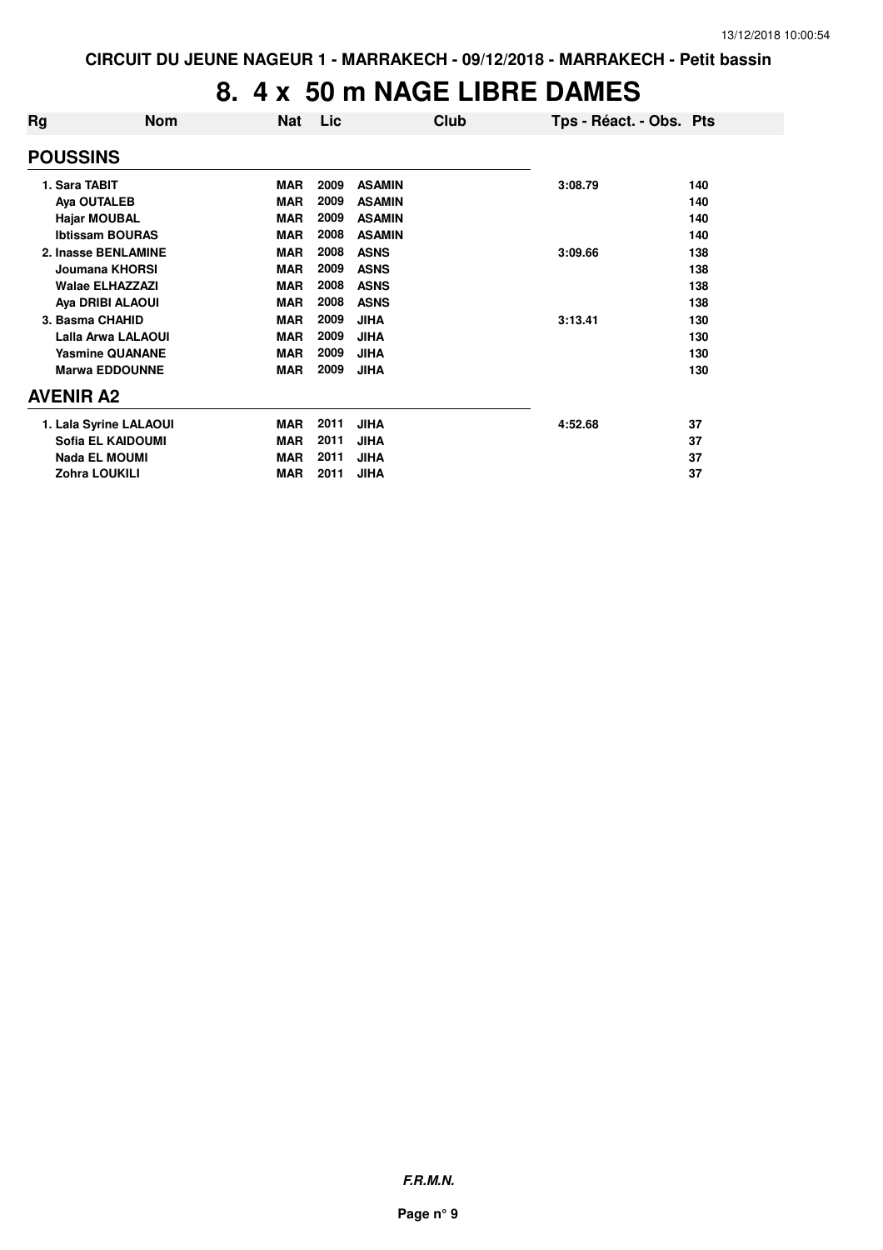# **8. 4 x 50 m NAGE LIBRE DAMES**

| Rg              | <b>Nom</b>             | <b>Nat</b> | Lic  | Club          | Tps - Réact. - Obs. Pts |     |
|-----------------|------------------------|------------|------|---------------|-------------------------|-----|
| <b>POUSSINS</b> |                        |            |      |               |                         |     |
| 1. Sara TABIT   |                        | <b>MAR</b> | 2009 | <b>ASAMIN</b> | 3:08.79                 | 140 |
|                 | Aya OUTALEB            | <b>MAR</b> | 2009 | <b>ASAMIN</b> |                         | 140 |
|                 | <b>Hajar MOUBAL</b>    | <b>MAR</b> | 2009 | <b>ASAMIN</b> |                         | 140 |
|                 | <b>Ibtissam BOURAS</b> | <b>MAR</b> | 2008 | <b>ASAMIN</b> |                         | 140 |
|                 | 2. Inasse BENLAMINE    | <b>MAR</b> | 2008 | <b>ASNS</b>   | 3:09.66                 | 138 |
|                 | Joumana KHORSI         | <b>MAR</b> | 2009 | <b>ASNS</b>   |                         | 138 |
|                 | <b>Walae ELHAZZAZI</b> | <b>MAR</b> | 2008 | <b>ASNS</b>   |                         | 138 |
|                 | Aya DRIBI ALAOUI       | <b>MAR</b> | 2008 | <b>ASNS</b>   |                         | 138 |
|                 | 3. Basma CHAHID        | <b>MAR</b> | 2009 | <b>JIHA</b>   | 3:13.41                 | 130 |
|                 | Lalla Arwa LALAOUI     | <b>MAR</b> | 2009 | <b>JIHA</b>   |                         | 130 |
|                 | <b>Yasmine QUANANE</b> | <b>MAR</b> | 2009 | <b>JIHA</b>   |                         | 130 |
|                 | <b>Marwa EDDOUNNE</b>  | <b>MAR</b> | 2009 | <b>JIHA</b>   |                         | 130 |
| AVENIR A2       |                        |            |      |               |                         |     |
|                 | 1. Lala Syrine LALAOUI | <b>MAR</b> | 2011 | <b>JIHA</b>   | 4:52.68                 | 37  |
|                 | Sofia EL KAIDOUMI      | <b>MAR</b> | 2011 | <b>JIHA</b>   |                         | 37  |
|                 | <b>Nada EL MOUMI</b>   | <b>MAR</b> | 2011 | <b>JIHA</b>   |                         | 37  |
|                 | Zohra LOUKILI          | <b>MAR</b> | 2011 | <b>JIHA</b>   |                         | 37  |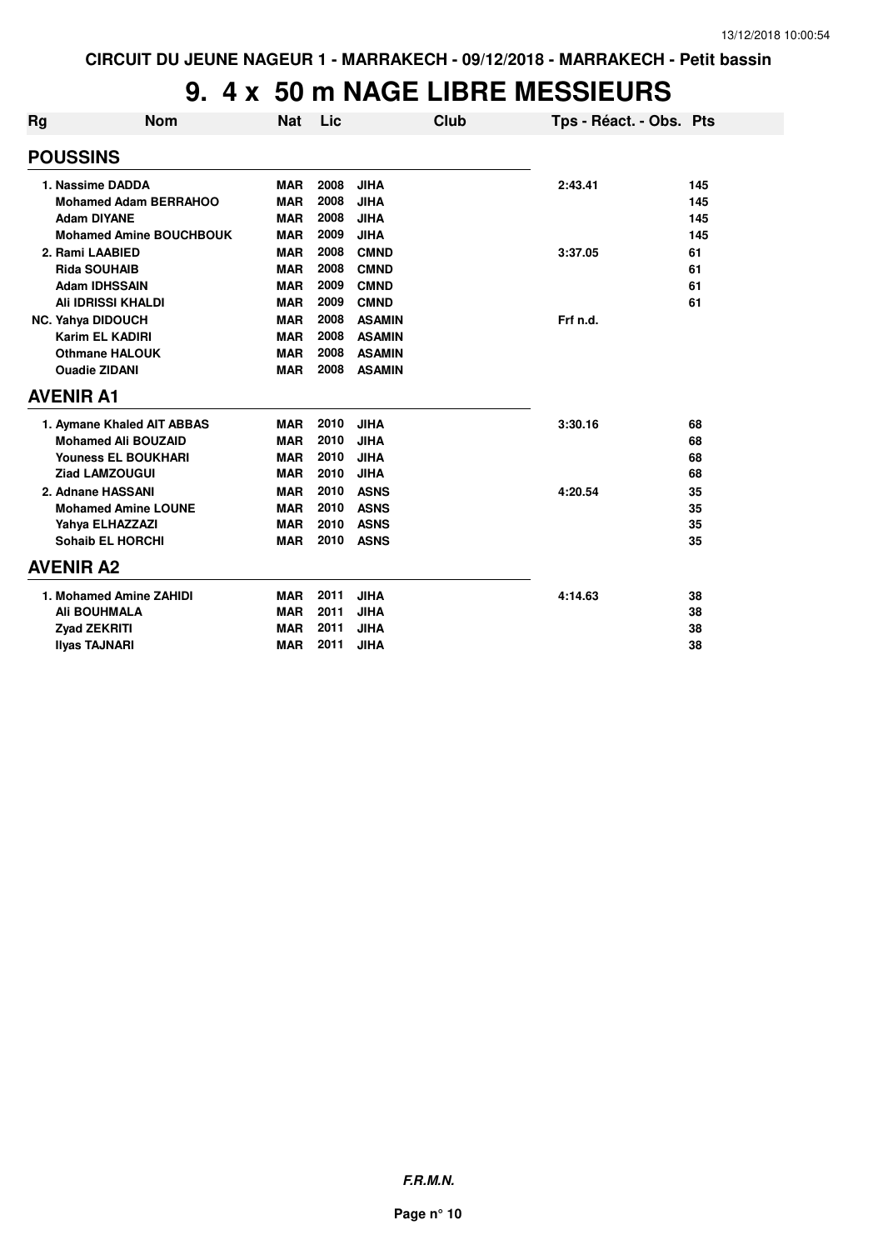## **9. 4 x 50 m NAGE LIBRE MESSIEURS**

| Rg               | <b>Nom</b>                     | <b>Nat</b> | <b>Lic</b> |               | Club | Tps - Réact. - Obs. Pts |     |
|------------------|--------------------------------|------------|------------|---------------|------|-------------------------|-----|
| <b>POUSSINS</b>  |                                |            |            |               |      |                         |     |
|                  | 1. Nassime DADDA               | <b>MAR</b> | 2008       | <b>JIHA</b>   |      | 2:43.41                 | 145 |
|                  | <b>Mohamed Adam BERRAHOO</b>   | <b>MAR</b> | 2008       | <b>JIHA</b>   |      |                         | 145 |
|                  | <b>Adam DIYANE</b>             | <b>MAR</b> | 2008       | <b>JIHA</b>   |      |                         | 145 |
|                  | <b>Mohamed Amine BOUCHBOUK</b> | <b>MAR</b> | 2009       | <b>JIHA</b>   |      |                         | 145 |
|                  | 2. Rami LAABIED                | <b>MAR</b> | 2008       | <b>CMND</b>   |      | 3:37.05                 | 61  |
|                  | <b>Rida SOUHAIB</b>            | <b>MAR</b> | 2008       | <b>CMND</b>   |      |                         | 61  |
|                  | <b>Adam IDHSSAIN</b>           | <b>MAR</b> | 2009       | <b>CMND</b>   |      |                         | 61  |
|                  | <b>Ali IDRISSI KHALDI</b>      | <b>MAR</b> | 2009       | <b>CMND</b>   |      |                         | 61  |
|                  | <b>NC. Yahya DIDOUCH</b>       | <b>MAR</b> | 2008       | <b>ASAMIN</b> |      | Frf n.d.                |     |
|                  | <b>Karim EL KADIRI</b>         | <b>MAR</b> | 2008       | <b>ASAMIN</b> |      |                         |     |
|                  | <b>Othmane HALOUK</b>          | <b>MAR</b> | 2008       | <b>ASAMIN</b> |      |                         |     |
|                  | <b>Ouadie ZIDANI</b>           | <b>MAR</b> | 2008       | <b>ASAMIN</b> |      |                         |     |
| <b>AVENIR A1</b> |                                |            |            |               |      |                         |     |
|                  | 1. Aymane Khaled AIT ABBAS     | <b>MAR</b> | 2010       | <b>JIHA</b>   |      | 3:30.16                 | 68  |
|                  | <b>Mohamed Ali BOUZAID</b>     | <b>MAR</b> | 2010       | <b>JIHA</b>   |      |                         | 68  |
|                  | <b>Youness EL BOUKHARI</b>     | <b>MAR</b> | 2010       | <b>JIHA</b>   |      |                         | 68  |
|                  | <b>Ziad LAMZOUGUI</b>          | <b>MAR</b> | 2010       | <b>JIHA</b>   |      |                         | 68  |
|                  | 2. Adnane HASSANI              | <b>MAR</b> | 2010       | <b>ASNS</b>   |      | 4:20.54                 | 35  |
|                  | <b>Mohamed Amine LOUNE</b>     | <b>MAR</b> | 2010       | <b>ASNS</b>   |      |                         | 35  |
|                  | Yahya ELHAZZAZI                | <b>MAR</b> | 2010       | <b>ASNS</b>   |      |                         | 35  |
|                  | <b>Sohaib EL HORCHI</b>        | <b>MAR</b> | 2010       | <b>ASNS</b>   |      |                         | 35  |
| <b>AVENIR A2</b> |                                |            |            |               |      |                         |     |
|                  | 1. Mohamed Amine ZAHIDI        | <b>MAR</b> | 2011       | <b>JIHA</b>   |      | 4:14.63                 | 38  |
|                  | <b>Ali BOUHMALA</b>            | <b>MAR</b> | 2011       | <b>JIHA</b>   |      |                         | 38  |
|                  | <b>Zyad ZEKRITI</b>            | <b>MAR</b> | 2011       | <b>JIHA</b>   |      |                         | 38  |
|                  | <b>Ilvas TAJNARI</b>           | <b>MAR</b> | 2011       | <b>JIHA</b>   |      |                         | 38  |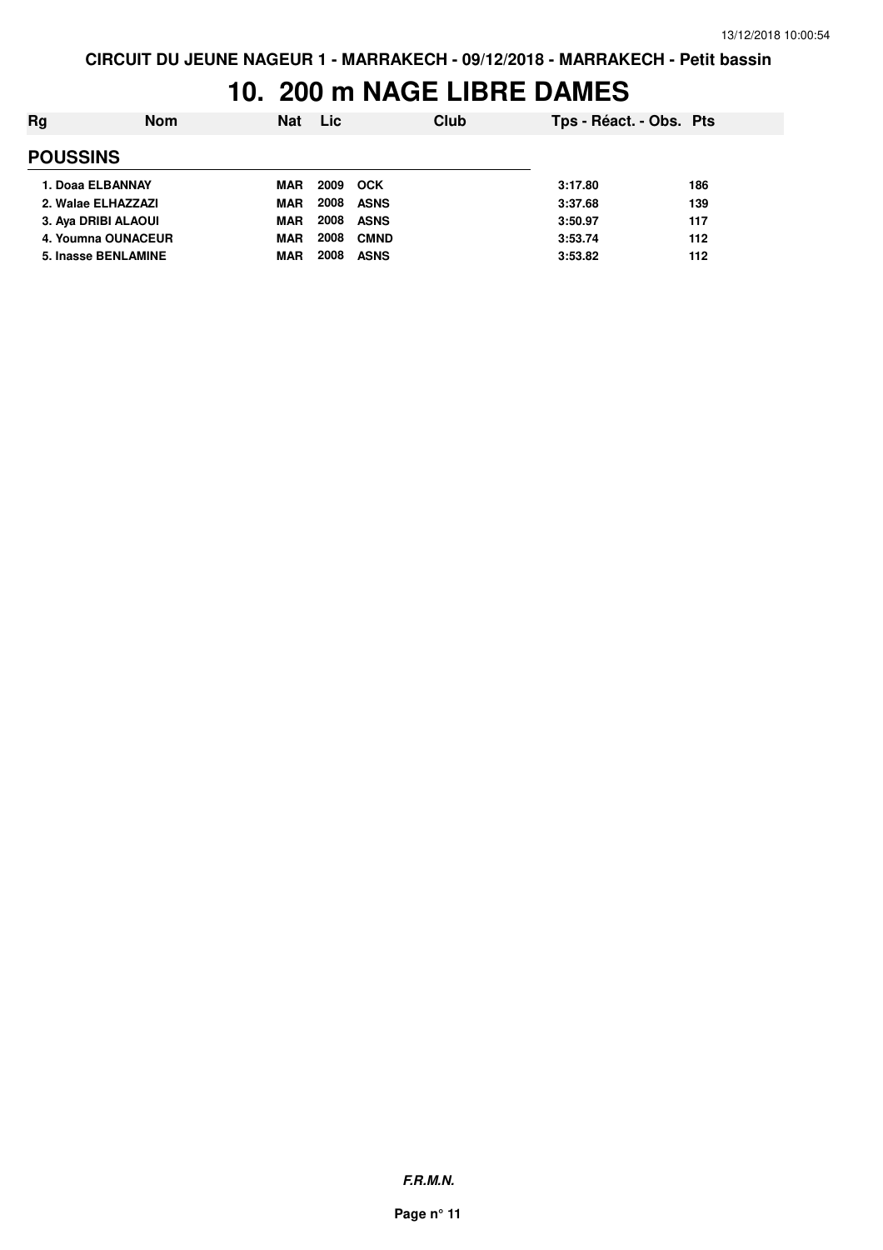## **10. 200 m NAGE LIBRE DAMES**

| Rg              | <b>Nom</b>          | <b>Nat</b> | <b>Lic</b> | Club        | Tps - Réact. - Obs. Pts |     |
|-----------------|---------------------|------------|------------|-------------|-------------------------|-----|
| <b>POUSSINS</b> |                     |            |            |             |                         |     |
|                 | 1. Doaa ELBANNAY    | <b>MAR</b> | 2009       | <b>OCK</b>  | 3:17.80                 | 186 |
|                 | 2. Walae ELHAZZAZI  | <b>MAR</b> | 2008       | <b>ASNS</b> | 3:37.68                 | 139 |
|                 | 3. Aya DRIBI ALAOUI | <b>MAR</b> | 2008       | <b>ASNS</b> | 3:50.97                 | 117 |
|                 | 4. Youmna OUNACEUR  | <b>MAR</b> | 2008       | <b>CMND</b> | 3:53.74                 | 112 |
|                 | 5. Inasse BENLAMINE | MAR        | 2008       | <b>ASNS</b> | 3:53.82                 | 112 |
|                 |                     |            |            |             |                         |     |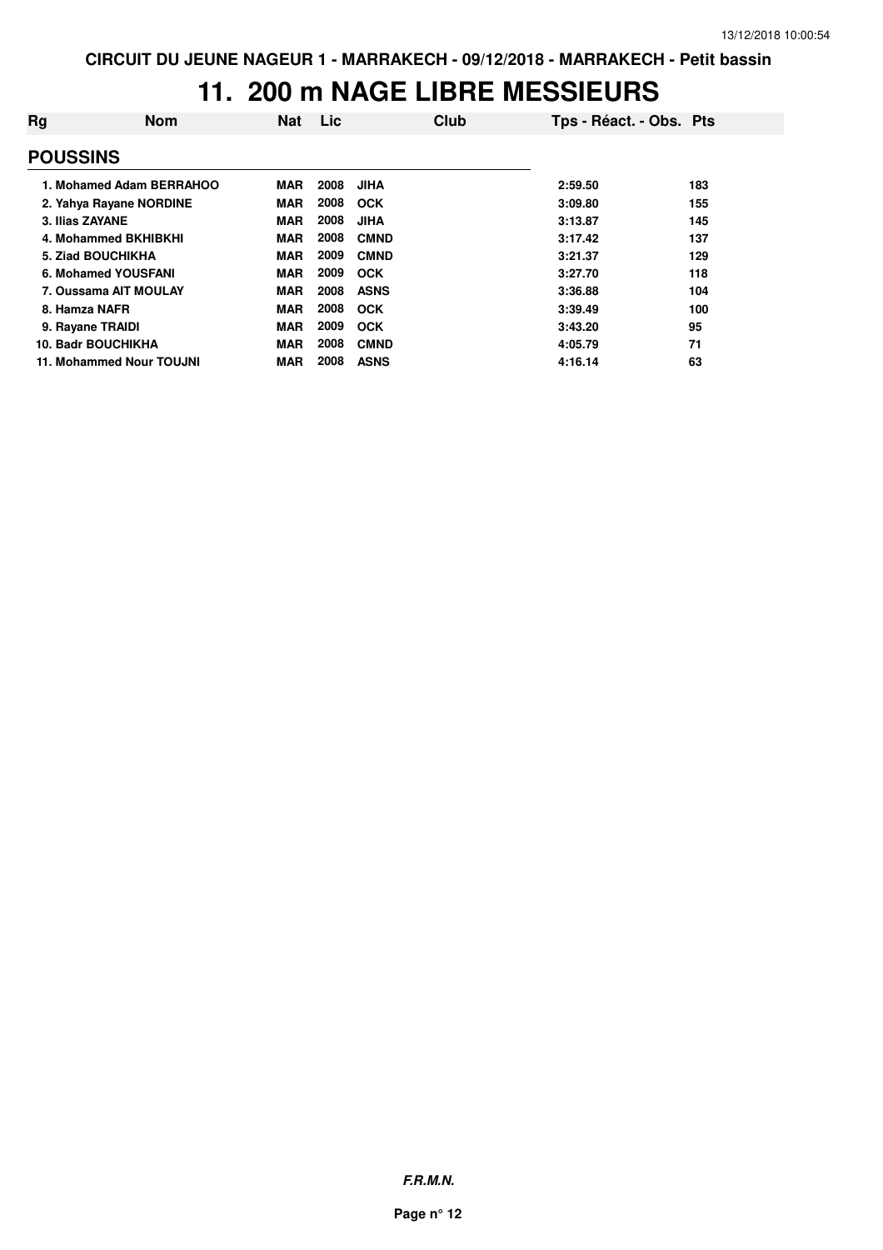## **11. 200 m NAGE LIBRE MESSIEURS**

| Rg               | <b>Nom</b>                | Nat        | <b>Lic</b> | Club        | Tps - Réact. - Obs. Pts |     |
|------------------|---------------------------|------------|------------|-------------|-------------------------|-----|
| <b>POUSSINS</b>  |                           |            |            |             |                         |     |
|                  | 1. Mohamed Adam BERRAHOO  | MAR        | 2008       | <b>JIHA</b> | 2:59.50                 | 183 |
|                  | 2. Yahya Rayane NORDINE   | <b>MAR</b> | 2008       | <b>OCK</b>  | 3:09.80                 | 155 |
| 3. Ilias ZAYANE  |                           | <b>MAR</b> | 2008       | <b>JIHA</b> | 3:13.87                 | 145 |
|                  | 4. Mohammed BKHIBKHI      | <b>MAR</b> | 2008       | <b>CMND</b> | 3:17.42                 | 137 |
|                  | 5. Ziad BOUCHIKHA         | <b>MAR</b> | 2009       | <b>CMND</b> | 3:21.37                 | 129 |
|                  | 6. Mohamed YOUSFANI       | <b>MAR</b> | 2009       | <b>OCK</b>  | 3:27.70                 | 118 |
|                  | 7. Oussama AIT MOULAY     | <b>MAR</b> | 2008       | <b>ASNS</b> | 3:36.88                 | 104 |
| 8. Hamza NAFR    |                           | <b>MAR</b> | 2008       | <b>OCK</b>  | 3:39.49                 | 100 |
| 9. Rayane TRAIDI |                           | <b>MAR</b> | 2009       | <b>OCK</b>  | 3:43.20                 | 95  |
|                  | <b>10. Badr BOUCHIKHA</b> | <b>MAR</b> | 2008       | <b>CMND</b> | 4:05.79                 | 71  |
|                  | 11. Mohammed Nour TOUJNI  | <b>MAR</b> | 2008       | <b>ASNS</b> | 4:16.14                 | 63  |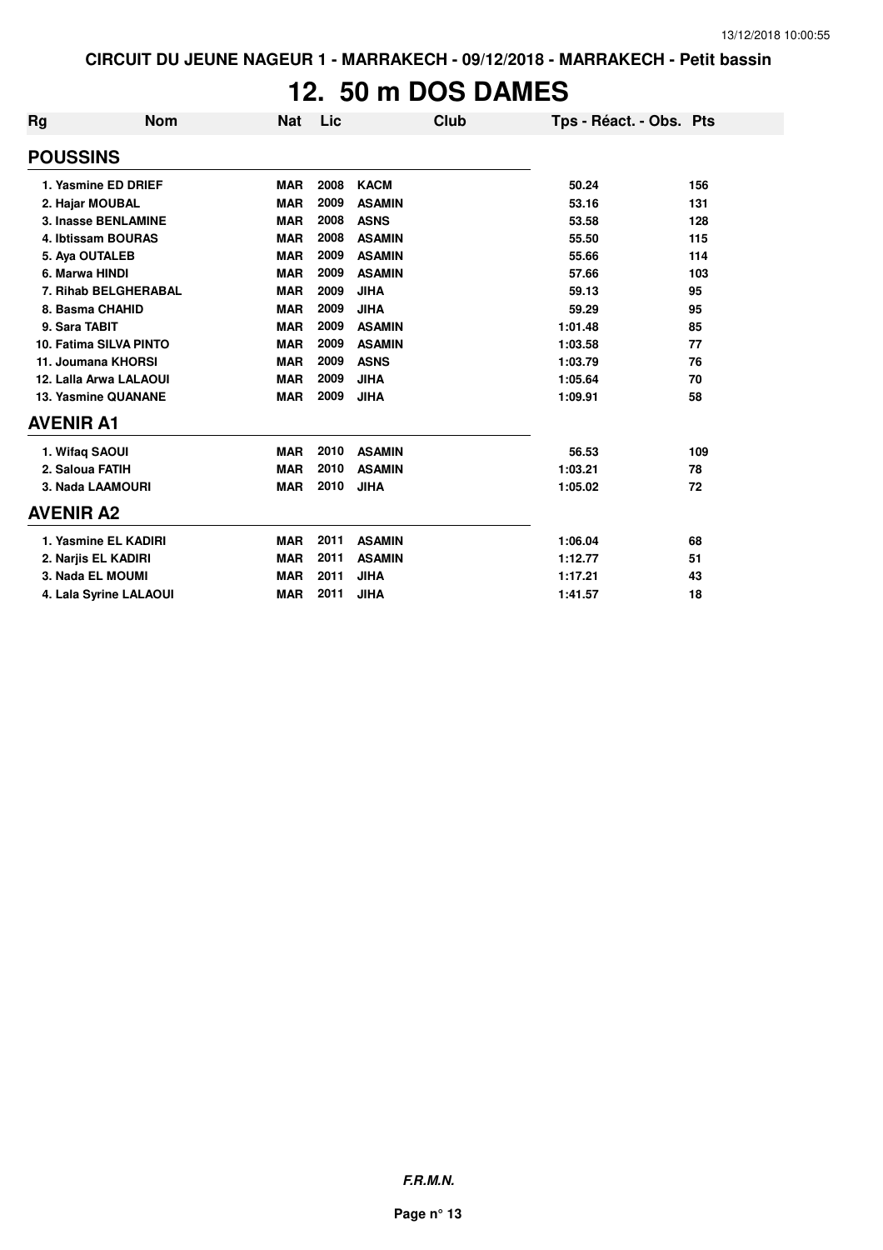# **12. 50 m DOS DAMES**

| <b>Rg</b>                  | <b>Nom</b>             | <b>Nat</b> | Lic  | Club          | Tps - Réact. - Obs. Pts |     |
|----------------------------|------------------------|------------|------|---------------|-------------------------|-----|
| <b>POUSSINS</b>            |                        |            |      |               |                         |     |
|                            | 1. Yasmine ED DRIEF    | <b>MAR</b> | 2008 | <b>KACM</b>   | 50.24                   | 156 |
|                            | 2. Hajar MOUBAL        | <b>MAR</b> | 2009 | <b>ASAMIN</b> | 53.16                   | 131 |
|                            | 3. Inasse BENLAMINE    | <b>MAR</b> | 2008 | <b>ASNS</b>   | 53.58                   | 128 |
|                            | 4. Ibtissam BOURAS     | <b>MAR</b> | 2008 | <b>ASAMIN</b> | 55.50                   | 115 |
|                            | 5. Aya OUTALEB         | <b>MAR</b> | 2009 | <b>ASAMIN</b> | 55.66                   | 114 |
| 6. Marwa HINDI             |                        | <b>MAR</b> | 2009 | <b>ASAMIN</b> | 57.66                   | 103 |
| 7. Rihab BELGHERABAL       |                        | <b>MAR</b> | 2009 | <b>JIHA</b>   | 59.13                   | 95  |
| 8. Basma CHAHID            |                        | <b>MAR</b> | 2009 | <b>JIHA</b>   | 59.29                   | 95  |
| 9. Sara TABIT              |                        | <b>MAR</b> | 2009 | <b>ASAMIN</b> | 1:01.48                 | 85  |
| 10. Fatima SILVA PINTO     |                        | <b>MAR</b> | 2009 | <b>ASAMIN</b> | 1:03.58                 | 77  |
|                            | 11. Joumana KHORSI     | <b>MAR</b> | 2009 | <b>ASNS</b>   | 1:03.79                 | 76  |
|                            | 12. Lalla Arwa LALAOUI | <b>MAR</b> | 2009 | <b>JIHA</b>   | 1:05.64                 | 70  |
| <b>13. Yasmine QUANANE</b> |                        | <b>MAR</b> | 2009 | <b>JIHA</b>   | 1:09.91                 | 58  |
| <b>AVENIR A1</b>           |                        |            |      |               |                         |     |
| 1. Wifaq SAOUI             |                        | <b>MAR</b> | 2010 | <b>ASAMIN</b> | 56.53                   | 109 |
| 2. Saloua FATIH            |                        | <b>MAR</b> | 2010 | <b>ASAMIN</b> | 1:03.21                 | 78  |
|                            | 3. Nada LAAMOURI       | <b>MAR</b> | 2010 | <b>JIHA</b>   | 1:05.02                 | 72  |
| <b>AVENIR A2</b>           |                        |            |      |               |                         |     |
|                            | 1. Yasmine EL KADIRI   | <b>MAR</b> | 2011 | <b>ASAMIN</b> | 1:06.04                 | 68  |
|                            | 2. Narjis EL KADIRI    | <b>MAR</b> | 2011 | <b>ASAMIN</b> | 1:12.77                 | 51  |
|                            | 3. Nada EL MOUMI       | <b>MAR</b> | 2011 | <b>JIHA</b>   | 1:17.21                 | 43  |
|                            | 4. Lala Syrine LALAOUI | <b>MAR</b> | 2011 | <b>JIHA</b>   | 1:41.57                 | 18  |

**F.R.M.N.**

**Page n° 13**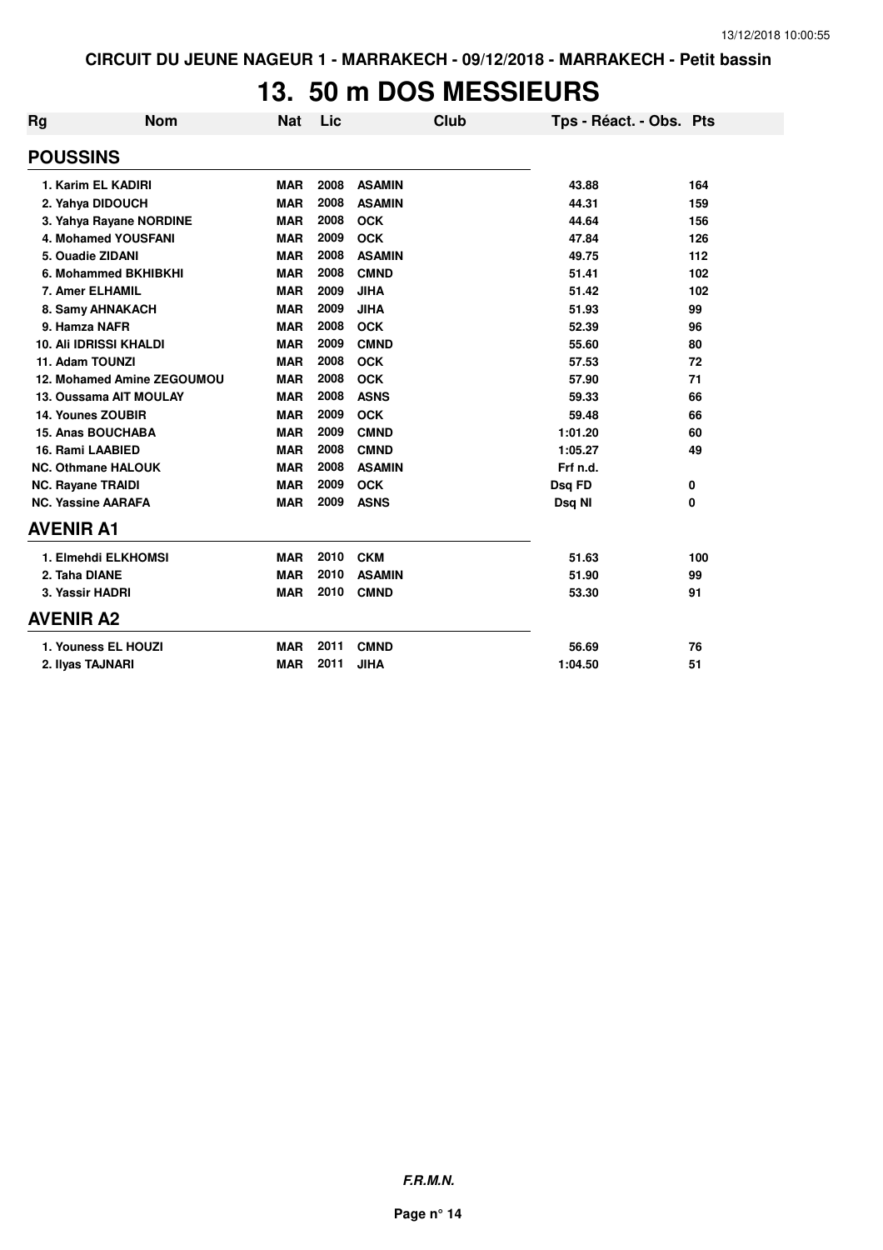#### **13. 50 m DOS MESSIEURS**

| Rg                        | <b>Nom</b>                    | <b>Nat</b> | Lic  |               | Club | Tps - Réact. - Obs. Pts |     |
|---------------------------|-------------------------------|------------|------|---------------|------|-------------------------|-----|
| <b>POUSSINS</b>           |                               |            |      |               |      |                         |     |
|                           | 1. Karim EL KADIRI            | <b>MAR</b> | 2008 | <b>ASAMIN</b> |      | 43.88                   | 164 |
| 2. Yahya DIDOUCH          |                               | <b>MAR</b> | 2008 | <b>ASAMIN</b> |      | 44.31                   | 159 |
|                           | 3. Yahya Rayane NORDINE       | <b>MAR</b> | 2008 | <b>OCK</b>    |      | 44.64                   | 156 |
|                           | 4. Mohamed YOUSFANI           | <b>MAR</b> | 2009 | <b>OCK</b>    |      | 47.84                   | 126 |
| 5. Ouadie ZIDANI          |                               | <b>MAR</b> | 2008 | <b>ASAMIN</b> |      | 49.75                   | 112 |
|                           | 6. Mohammed BKHIBKHI          | <b>MAR</b> | 2008 | <b>CMND</b>   |      | 51.41                   | 102 |
| 7. Amer ELHAMIL           |                               | <b>MAR</b> | 2009 | <b>JIHA</b>   |      | 51.42                   | 102 |
|                           | 8. Samy AHNAKACH              | <b>MAR</b> | 2009 | <b>JIHA</b>   |      | 51.93                   | 99  |
| 9. Hamza NAFR             |                               | <b>MAR</b> | 2008 | <b>OCK</b>    |      | 52.39                   | 96  |
|                           | <b>10. Ali IDRISSI KHALDI</b> | <b>MAR</b> | 2009 | <b>CMND</b>   |      | 55.60                   | 80  |
| 11. Adam TOUNZI           |                               | <b>MAR</b> | 2008 | <b>OCK</b>    |      | 57.53                   | 72  |
|                           | 12. Mohamed Amine ZEGOUMOU    | <b>MAR</b> | 2008 | <b>OCK</b>    |      | 57.90                   | 71  |
| 13. Oussama AIT MOULAY    |                               | <b>MAR</b> | 2008 | <b>ASNS</b>   |      | 59.33                   | 66  |
| 14. Younes ZOUBIR         |                               | <b>MAR</b> | 2009 | <b>OCK</b>    |      | 59.48                   | 66  |
| 15. Anas BOUCHABA         |                               | <b>MAR</b> | 2009 | <b>CMND</b>   |      | 1:01.20                 | 60  |
| 16. Rami LAABIED          |                               | <b>MAR</b> | 2008 | <b>CMND</b>   |      | 1:05.27                 | 49  |
| <b>NC. Othmane HALOUK</b> |                               | <b>MAR</b> | 2008 | <b>ASAMIN</b> |      | Frf n.d.                |     |
| <b>NC. Rayane TRAIDI</b>  |                               | <b>MAR</b> | 2009 | <b>OCK</b>    |      | Dsq FD                  | 0   |
| <b>NC. Yassine AARAFA</b> |                               | <b>MAR</b> | 2009 | <b>ASNS</b>   |      | Dsq NI                  | 0   |
| <b>AVENIR A1</b>          |                               |            |      |               |      |                         |     |
|                           | 1. Elmehdi ELKHOMSI           | <b>MAR</b> | 2010 | <b>CKM</b>    |      | 51.63                   | 100 |
| 2. Taha DIANE             |                               | <b>MAR</b> | 2010 | <b>ASAMIN</b> |      | 51.90                   | 99  |
| 3. Yassir HADRI           |                               | <b>MAR</b> | 2010 | <b>CMND</b>   |      | 53.30                   | 91  |
| <b>AVENIR A2</b>          |                               |            |      |               |      |                         |     |
|                           | 1. Youness EL HOUZI           | <b>MAR</b> | 2011 | <b>CMND</b>   |      | 56.69                   | 76  |
| 2. Ilyas TAJNARI          |                               | <b>MAR</b> | 2011 | <b>JIHA</b>   |      | 1:04.50                 | 51  |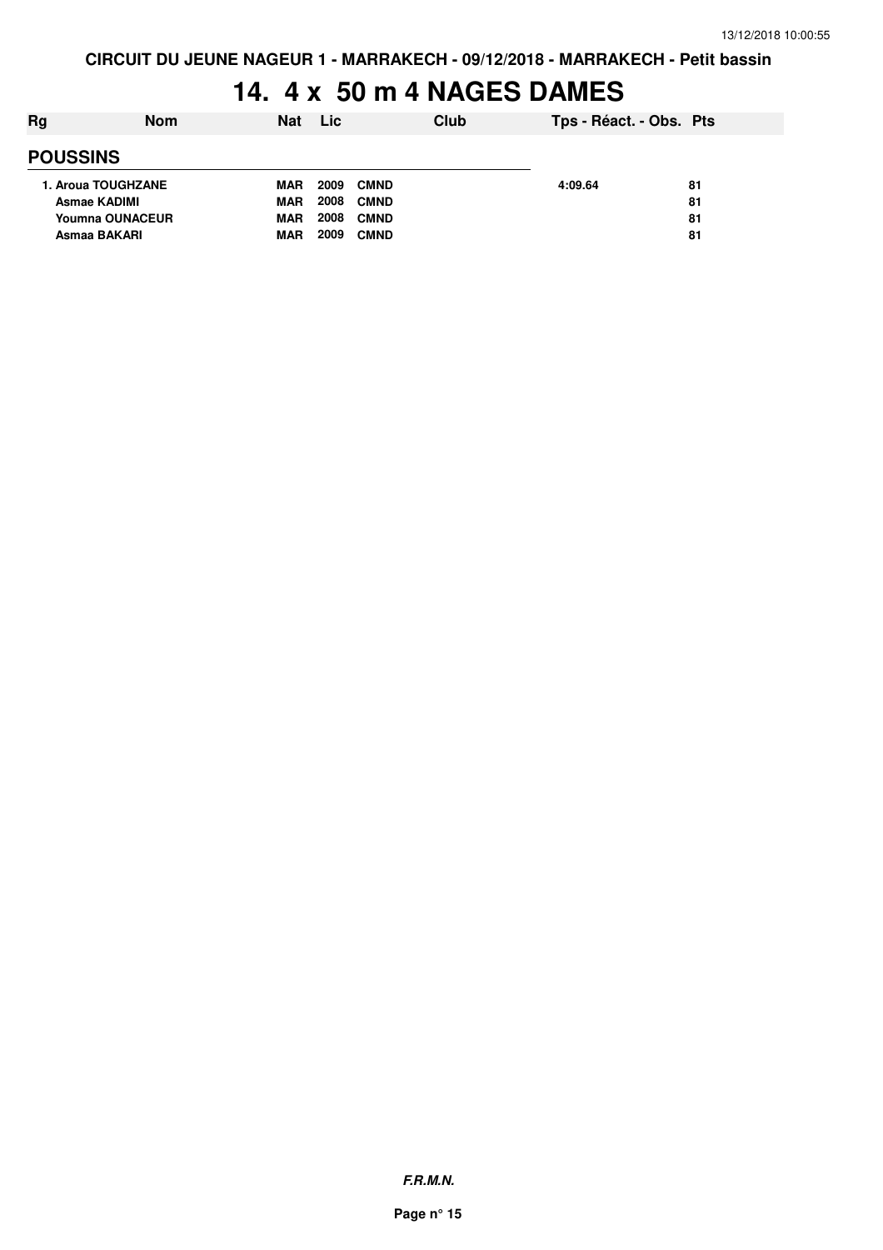# 14. 4 x 50 m 4 NAGES DAMES

| Rg | <b>Nom</b>             | <b>Nat</b> | <b>Lic</b> |             | Club | Tps - Réact. - Obs. Pts |    |
|----|------------------------|------------|------------|-------------|------|-------------------------|----|
|    | <b>POUSSINS</b>        |            |            |             |      |                         |    |
|    | 1. Aroua TOUGHZANE     | MAR        | 2009       | <b>CMND</b> |      | 4:09.64                 | 81 |
|    | <b>Asmae KADIMI</b>    | <b>MAR</b> | 2008       | <b>CMND</b> |      |                         | 81 |
|    | <b>Youmna OUNACEUR</b> | <b>MAR</b> | 2008       | <b>CMND</b> |      |                         | 81 |
|    | Asmaa BAKARI           | <b>MAR</b> | 2009       | <b>CMND</b> |      |                         | 81 |
|    |                        |            |            |             |      |                         |    |